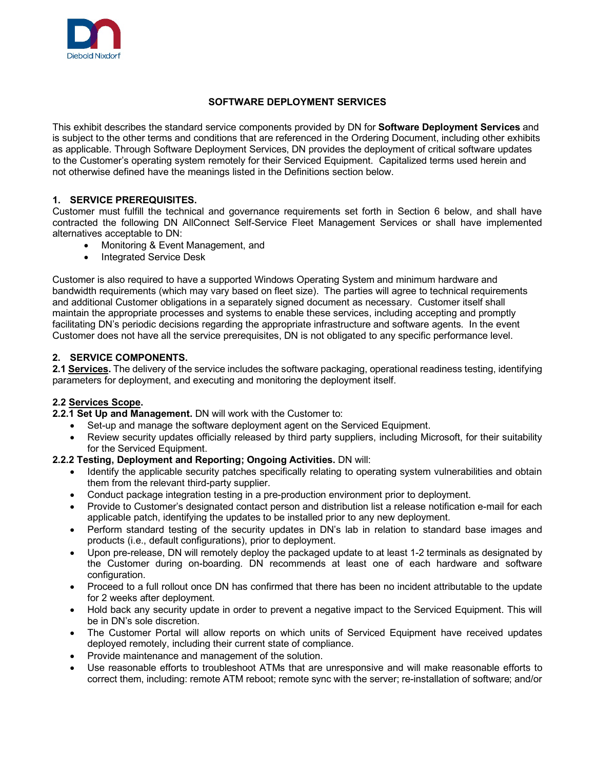

# **SOFTWARE DEPLOYMENT SERVICES**

This exhibit describes the standard service components provided by DN for **Software Deployment Services** and is subject to the other terms and conditions that are referenced in the Ordering Document, including other exhibits as applicable. Through Software Deployment Services, DN provides the deployment of critical software updates to the Customer's operating system remotely for their Serviced Equipment. Capitalized terms used herein and not otherwise defined have the meanings listed in the Definitions section below.

# **1. SERVICE PREREQUISITES.**

Customer must fulfill the technical and governance requirements set forth in Section 6 below, and shall have contracted the following DN AllConnect Self-Service Fleet Management Services or shall have implemented alternatives acceptable to DN:

- Monitoring & Event Management, and
- Integrated Service Desk

Customer is also required to have a supported Windows Operating System and minimum hardware and bandwidth requirements (which may vary based on fleet size). The parties will agree to technical requirements and additional Customer obligations in a separately signed document as necessary. Customer itself shall maintain the appropriate processes and systems to enable these services, including accepting and promptly facilitating DN's periodic decisions regarding the appropriate infrastructure and software agents. In the event Customer does not have all the service prerequisites, DN is not obligated to any specific performance level.

#### **2. SERVICE COMPONENTS.**

**2.1 Services.** The delivery of the service includes the software packaging, operational readiness testing, identifying parameters for deployment, and executing and monitoring the deployment itself.

# **2.2 Services Scope.**

- **2.2.1 Set Up and Management.** DN will work with the Customer to:
	- Set-up and manage the software deployment agent on the Serviced Equipment.
	- Review security updates officially released by third party suppliers, including Microsoft, for their suitability for the Serviced Equipment.

#### **2.2.2 Testing, Deployment and Reporting; Ongoing Activities.** DN will:

- Identify the applicable security patches specifically relating to operating system vulnerabilities and obtain them from the relevant third-party supplier.
- Conduct package integration testing in a pre-production environment prior to deployment.
- Provide to Customer's designated contact person and distribution list a release notification e-mail for each applicable patch, identifying the updates to be installed prior to any new deployment.
- Perform standard testing of the security updates in DN's lab in relation to standard base images and products (i.e., default configurations), prior to deployment.
- Upon pre-release, DN will remotely deploy the packaged update to at least 1-2 terminals as designated by the Customer during on-boarding. DN recommends at least one of each hardware and software configuration.
- Proceed to a full rollout once DN has confirmed that there has been no incident attributable to the update for 2 weeks after deployment.
- Hold back any security update in order to prevent a negative impact to the Serviced Equipment. This will be in DN's sole discretion.
- The Customer Portal will allow reports on which units of Serviced Equipment have received updates deployed remotely, including their current state of compliance.
- Provide maintenance and management of the solution.
- Use reasonable efforts to troubleshoot ATMs that are unresponsive and will make reasonable efforts to correct them, including: remote ATM reboot; remote sync with the server; re-installation of software; and/or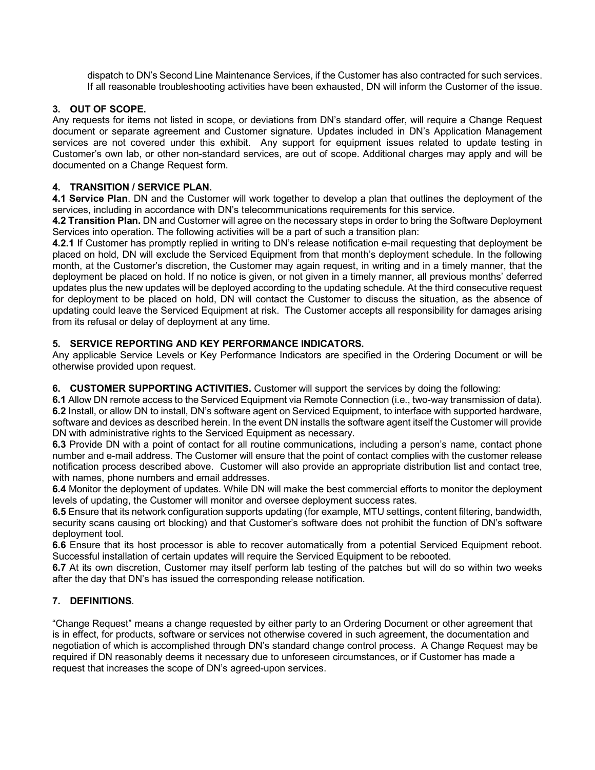dispatch to DN's Second Line Maintenance Services, if the Customer has also contracted for such services. If all reasonable troubleshooting activities have been exhausted, DN will inform the Customer of the issue.

# **3. OUT OF SCOPE.**

Any requests for items not listed in scope, or deviations from DN's standard offer, will require a Change Request document or separate agreement and Customer signature. Updates included in DN's Application Management services are not covered under this exhibit. Any support for equipment issues related to update testing in Customer's own lab, or other non-standard services, are out of scope. Additional charges may apply and will be documented on a Change Request form.

# **4. TRANSITION / SERVICE PLAN.**

**4.1 Service Plan**. DN and the Customer will work together to develop a plan that outlines the deployment of the services, including in accordance with DN's telecommunications requirements for this service.

**4.2 Transition Plan.** DN and Customer will agree on the necessary steps in order to bring the Software Deployment Services into operation. The following activities will be a part of such a transition plan:

**4.2.1** If Customer has promptly replied in writing to DN's release notification e-mail requesting that deployment be placed on hold, DN will exclude the Serviced Equipment from that month's deployment schedule. In the following month, at the Customer's discretion, the Customer may again request, in writing and in a timely manner, that the deployment be placed on hold. If no notice is given, or not given in a timely manner, all previous months' deferred updates plus the new updates will be deployed according to the updating schedule. At the third consecutive request for deployment to be placed on hold, DN will contact the Customer to discuss the situation, as the absence of updating could leave the Serviced Equipment at risk. The Customer accepts all responsibility for damages arising from its refusal or delay of deployment at any time.

# **5. SERVICE REPORTING AND KEY PERFORMANCE INDICATORS.**

Any applicable Service Levels or Key Performance Indicators are specified in the Ordering Document or will be otherwise provided upon request.

# **6. CUSTOMER SUPPORTING ACTIVITIES.** Customer will support the services by doing the following:

**6.1** Allow DN remote access to the Serviced Equipment via Remote Connection (i.e., two-way transmission of data). **6.2** Install, or allow DN to install, DN's software agent on Serviced Equipment, to interface with supported hardware, software and devices as described herein. In the event DN installs the software agent itself the Customer will provide DN with administrative rights to the Serviced Equipment as necessary.

**6.3** Provide DN with a point of contact for all routine communications, including a person's name, contact phone number and e-mail address. The Customer will ensure that the point of contact complies with the customer release notification process described above. Customer will also provide an appropriate distribution list and contact tree, with names, phone numbers and email addresses.

**6.4** Monitor the deployment of updates. While DN will make the best commercial efforts to monitor the deployment levels of updating, the Customer will monitor and oversee deployment success rates.

**6.5** Ensure that its network configuration supports updating (for example, MTU settings, content filtering, bandwidth, security scans causing ort blocking) and that Customer's software does not prohibit the function of DN's software deployment tool.

**6.6** Ensure that its host processor is able to recover automatically from a potential Serviced Equipment reboot. Successful installation of certain updates will require the Serviced Equipment to be rebooted.

**6.7** At its own discretion, Customer may itself perform lab testing of the patches but will do so within two weeks after the day that DN's has issued the corresponding release notification.

# **7. DEFINITIONS**.

"Change Request" means a change requested by either party to an Ordering Document or other agreement that is in effect, for products, software or services not otherwise covered in such agreement, the documentation and negotiation of which is accomplished through DN's standard change control process. A Change Request may be required if DN reasonably deems it necessary due to unforeseen circumstances, or if Customer has made a request that increases the scope of DN's agreed-upon services.